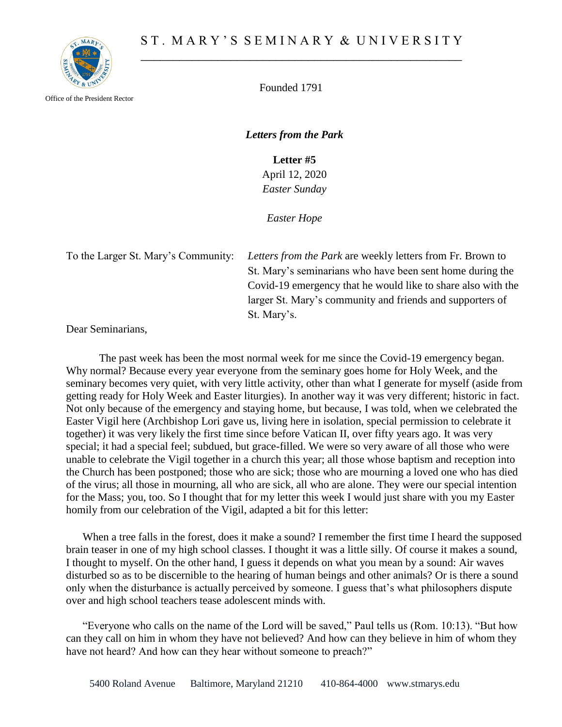

Office of the President Rector

Founded 1791

*Letters from the Park*

**Letter #5** April 12, 2020 *Easter Sunday*

*Easter Hope*

To the Larger St. Mary's Community: *Letters from the Park* are weekly letters from Fr. Brown to St. Mary's seminarians who have been sent home during the Covid-19 emergency that he would like to share also with the larger St. Mary's community and friends and supporters of St. Mary's.

Dear Seminarians,

The past week has been the most normal week for me since the Covid-19 emergency began. Why normal? Because every year everyone from the seminary goes home for Holy Week, and the seminary becomes very quiet, with very little activity, other than what I generate for myself (aside from getting ready for Holy Week and Easter liturgies). In another way it was very different; historic in fact. Not only because of the emergency and staying home, but because, I was told, when we celebrated the Easter Vigil here (Archbishop Lori gave us, living here in isolation, special permission to celebrate it together) it was very likely the first time since before Vatican II, over fifty years ago. It was very special; it had a special feel; subdued, but grace-filled. We were so very aware of all those who were unable to celebrate the Vigil together in a church this year; all those whose baptism and reception into the Church has been postponed; those who are sick; those who are mourning a loved one who has died of the virus; all those in mourning, all who are sick, all who are alone. They were our special intention for the Mass; you, too. So I thought that for my letter this week I would just share with you my Easter homily from our celebration of the Vigil, adapted a bit for this letter:

When a tree falls in the forest, does it make a sound? I remember the first time I heard the supposed brain teaser in one of my high school classes. I thought it was a little silly. Of course it makes a sound, I thought to myself. On the other hand, I guess it depends on what you mean by a sound: Air waves disturbed so as to be discernible to the hearing of human beings and other animals? Or is there a sound only when the disturbance is actually perceived by someone. I guess that's what philosophers dispute over and high school teachers tease adolescent minds with.

"Everyone who calls on the name of the Lord will be saved," Paul tells us (Rom. 10:13). "But how can they call on him in whom they have not believed? And how can they believe in him of whom they have not heard? And how can they hear without someone to preach?"